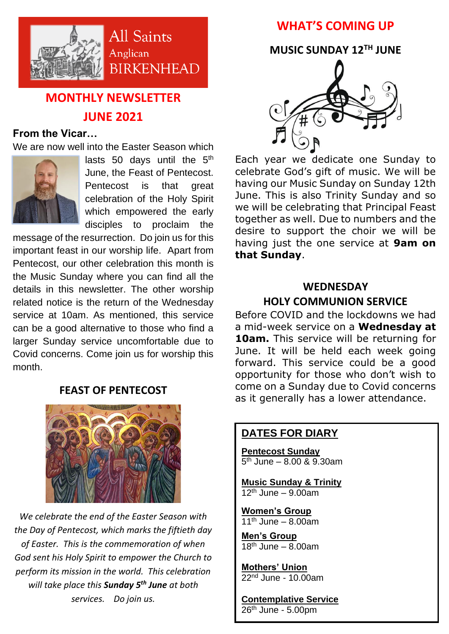

# **MONTHLY NEWSLETTER JUNE 2021**

#### **From the Vicar…**

We are now well into the Easter Season which



lasts 50 days until the  $5<sup>th</sup>$ June, the Feast of Pentecost. Pentecost is that great celebration of the Holy Spirit which empowered the early disciples to proclaim the

message of the resurrection. Do join us for this important feast in our worship life. Apart from Pentecost, our other celebration this month is the Music Sunday where you can find all the details in this newsletter. The other worship related notice is the return of the Wednesday service at 10am. As mentioned, this service can be a good alternative to those who find a larger Sunday service uncomfortable due to Covid concerns. Come join us for worship this month.

### **FEAST OF PENTECOST**



*We celebrate the end of the Easter Season with the Day of Pentecost, which marks the fiftieth day of Easter. This is the commemoration of when God sent his Holy Spirit to empower the Church to perform its mission in the world. This celebration will take place this Sunday 5th June at both services. Do join us.* 

# **WHAT'S COMING UP**

**MUSIC SUNDAY 12TH JUNE**



Each year we dedicate one Sunday to celebrate God's gift of music. We will be having our Music Sunday on Sunday 12th June. This is also Trinity Sunday and so we will be celebrating that Principal Feast together as well. Due to numbers and the desire to support the choir we will be having just the one service at **9am on that Sunday**.

# **WEDNESDAY**

#### **HOLY COMMUNION SERVICE**

Before COVID and the lockdowns we had a mid-week service on a **Wednesday at 10am.** This service will be returning for June. It will be held each week going forward. This service could be a good opportunity for those who don't wish to come on a Sunday due to Covid concerns as it generally has a lower attendance.

### **DATES FOR DIARY**

**Pentecost Sunday** 5 th June – 8.00 & 9.30am

**Music Sunday & Trinity**  $12<sup>th</sup>$  June – 9.00am

**Women's Group**  $11<sup>th</sup>$  June – 8.00am

**Men's Group**  $18<sup>th</sup>$  June – 8.00am

**Mothers' Union** 22<sup>nd</sup> June - 10.00am

**Contemplative Service**  $26<sup>th</sup>$  June - 5.00pm